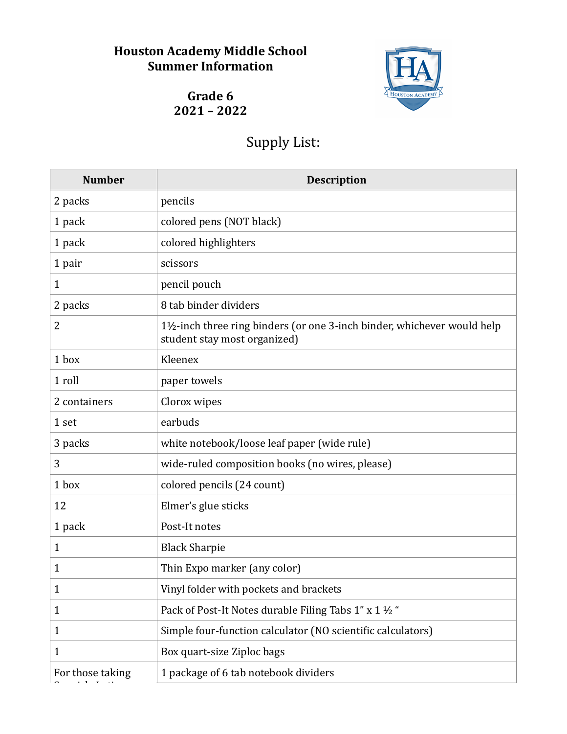## **Houston Academy Middle School Summer Information**



Grade 6 **2021 – 2022** 

## Supply List:

| <b>Number</b>    | <b>Description</b>                                                                                     |
|------------------|--------------------------------------------------------------------------------------------------------|
| 2 packs          | pencils                                                                                                |
| 1 pack           | colored pens (NOT black)                                                                               |
| 1 pack           | colored highlighters                                                                                   |
| 1 pair           | scissors                                                                                               |
| $\mathbf{1}$     | pencil pouch                                                                                           |
| 2 packs          | 8 tab binder dividers                                                                                  |
| 2                | 1½-inch three ring binders (or one 3-inch binder, whichever would help<br>student stay most organized) |
| 1 box            | Kleenex                                                                                                |
| 1 roll           | paper towels                                                                                           |
| 2 containers     | Clorox wipes                                                                                           |
| 1 set            | earbuds                                                                                                |
| 3 packs          | white notebook/loose leaf paper (wide rule)                                                            |
| 3                | wide-ruled composition books (no wires, please)                                                        |
| 1 box            | colored pencils (24 count)                                                                             |
| 12               | Elmer's glue sticks                                                                                    |
| 1 pack           | Post-It notes                                                                                          |
| $\mathbf{1}$     | <b>Black Sharpie</b>                                                                                   |
| 1                | Thin Expo marker (any color)                                                                           |
| 1                | Vinyl folder with pockets and brackets                                                                 |
| $\mathbf{1}$     | Pack of Post-It Notes durable Filing Tabs 1" x 1 1/2"                                                  |
| $\mathbf{1}$     | Simple four-function calculator (NO scientific calculators)                                            |
| $\mathbf{1}$     | Box quart-size Ziploc bags                                                                             |
| For those taking | 1 package of 6 tab notebook dividers                                                                   |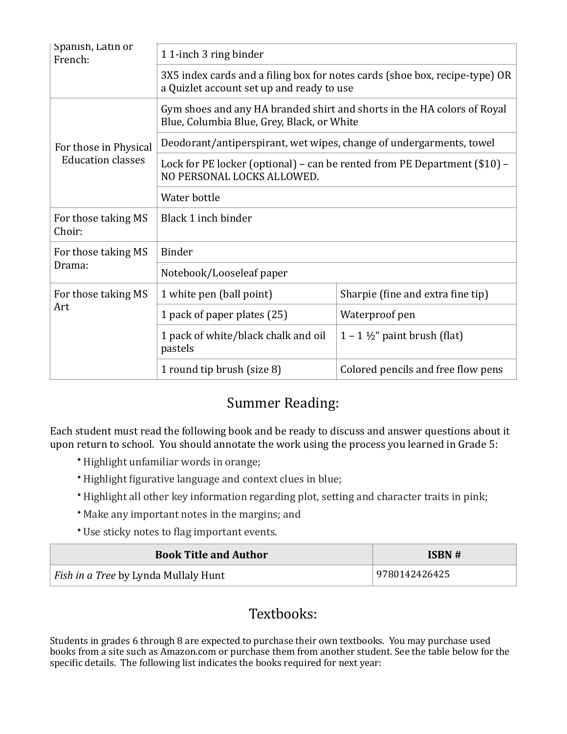| Spanish, Latin or<br>French:                      | 11-inch 3 ring binder                                                                                                    |                                          |  |
|---------------------------------------------------|--------------------------------------------------------------------------------------------------------------------------|------------------------------------------|--|
|                                                   | 3X5 index cards and a filing box for notes cards (shoe box, recipe-type) OR<br>a Quizlet account set up and ready to use |                                          |  |
| For those in Physical<br><b>Education classes</b> | Gym shoes and any HA branded shirt and shorts in the HA colors of Royal<br>Blue, Columbia Blue, Grey, Black, or White    |                                          |  |
|                                                   | Deodorant/antiperspirant, wet wipes, change of undergarments, towel                                                      |                                          |  |
|                                                   | Lock for PE locker (optional) – can be rented from PE Department (\$10) –<br>NO PERSONAL LOCKS ALLOWED.                  |                                          |  |
|                                                   | Water bottle                                                                                                             |                                          |  |
| For those taking MS<br>Choir:                     | Black 1 inch binder                                                                                                      |                                          |  |
| For those taking MS<br>Drama:                     | <b>Binder</b>                                                                                                            |                                          |  |
|                                                   | Notebook/Looseleaf paper                                                                                                 |                                          |  |
| For those taking MS<br>Art                        | 1 white pen (ball point)                                                                                                 | Sharpie (fine and extra fine tip)        |  |
|                                                   | 1 pack of paper plates (25)                                                                                              | Waterproof pen                           |  |
|                                                   | 1 pack of white/black chalk and oil<br>pastels                                                                           | $1 - 1 \frac{1}{2}$ " paint brush (flat) |  |
|                                                   | 1 round tip brush (size 8)                                                                                               | Colored pencils and free flow pens       |  |

## Summer Reading:

Each student must read the following book and be ready to discuss and answer questions about it upon return to school. You should annotate the work using the process you learned in Grade 5:

- Highlight unfamiliar words in orange;
- Highlight figurative language and context clues in blue;
- Highlight all other key information regarding plot, setting and character traits in pink;
- Make any important notes in the margins; and
- Use sticky notes to flag important events.

| <b>Book Title and Author</b>                | ISBN#         |
|---------------------------------------------|---------------|
| <i>Fish in a Tree by Lynda Mullaly Hunt</i> | 9780142426425 |

## Textbooks:

Students in grades 6 through 8 are expected to purchase their own textbooks. You may purchase used books from a site such as Amazon.com or purchase them from another student. See the table below for the specific details. The following list indicates the books required for next year: